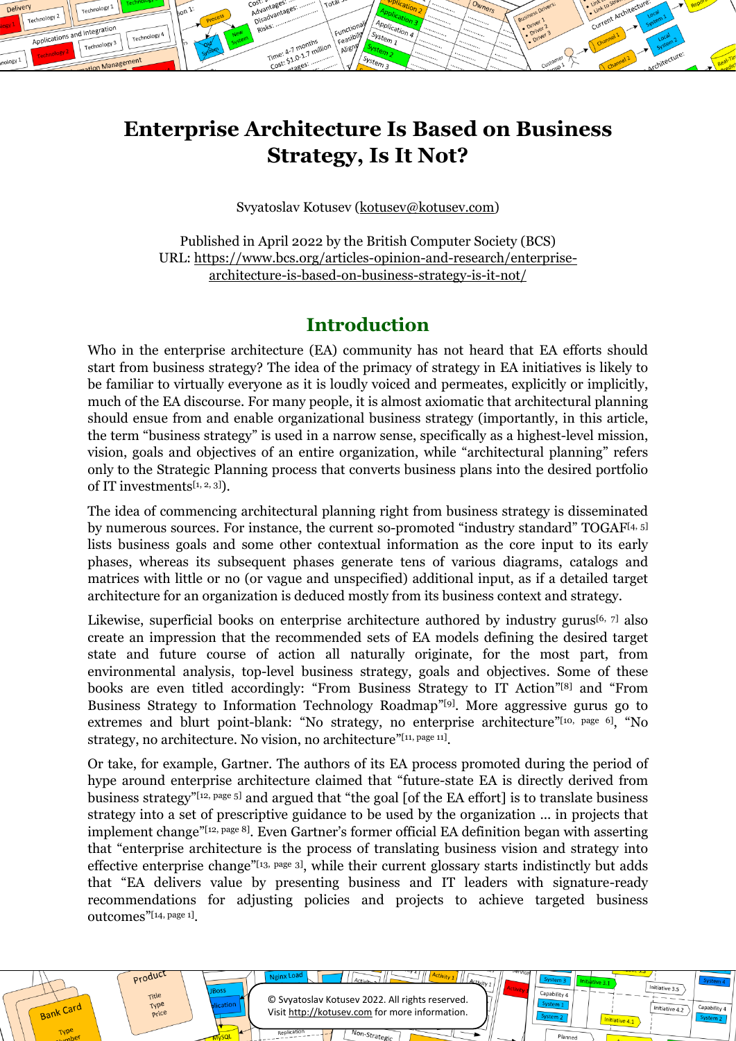# **Enterprise Architecture Is Based on Business Strategy, Is It Not?**

System<sub>1</sub>

Function

Function

Align

ost:<br>Advantage ost:<br>Advantages:<br>Disadvantages<br>Disadvantages

> Time:  $A - 7$  mot Time: 4-7 months

Technology<sup>1</sup>

Technology 3

Manage

Technology 4

Applications and Integration

Technology 2

Svyatoslav Kotusev [\(kotusev@kotusev.com\)](mailto:kotusev@kotusev.com)

Published in April 2022 by the British Computer Society (BCS) URL: [https://www.bcs.org/articles-opinion-and-research/enterprise](https://www.bcs.org/articles-opinion-and-research/enterprise-architecture-is-based-on-business-strategy-is-it-not/)[architecture-is-based-on-business-strategy-is-it-not/](https://www.bcs.org/articles-opinion-and-research/enterprise-architecture-is-based-on-business-strategy-is-it-not/)

### **Introduction**

Who in the enterprise architecture (EA) community has not heard that EA efforts should start from business strategy? The idea of the primacy of strategy in EA initiatives is likely to be familiar to virtually everyone as it is loudly voiced and permeates, explicitly or implicitly, much of the EA discourse. For many people, it is almost axiomatic that architectural planning should ensue from and enable organizational business strategy (importantly, in this article, the term "business strategy" is used in a narrow sense, specifically as a highest-level mission, vision, goals and objectives of an entire organization, while "architectural planning" refers only to the Strategic Planning process that converts business plans into the desired portfolio of IT investments[\[1,](#page-7-0) [2,](#page-7-1) [3\]](#page-7-2)).

The idea of commencing architectural planning right from business strategy is disseminated by numerous sources. For instance, the current so-promoted "industry standard" TOGAF<sup>[\[4,](#page-7-3) [5\]](#page-7-4)</sup> lists business goals and some other contextual information as the core input to its early phases, whereas its subsequent phases generate tens of various diagrams, catalogs and matrices with little or no (or vague and unspecified) additional input, as if a detailed target architecture for an organization is deduced mostly from its business context and strategy.

Likewise, superficial books on enterprise architecture authored by industry gurus<sup>[\[6,](#page-7-5) [7\]](#page-7-6)</sup> also create an impression that the recommended sets of EA models defining the desired target state and future course of action all naturally originate, for the most part, from environmental analysis, top-level business strategy, goals and objectives. Some of these books are even titled accordingly: "From Business Strategy to IT Action" [\[8\]](#page-7-7) and "From Business Strategy to Information Technology Roadmap"<sup>[\[9\]](#page-7-8)</sup>. More aggressive gurus go to extremes and blurt point-blank: "No strategy, no enterprise architecture"<sup>[\[10, page 6\]](#page-7-9)</sup>, "No strategy, no architecture. No vision, no architecture"[\[11, page 11\]](#page-7-10).

Or take, for example, Gartner. The authors of its EA process promoted during the period of hype around enterprise architecture claimed that "future-state EA is directly derived from business strategy"[\[12, page 5\]](#page-7-11) and argued that "the goal [of the EA effort] is to translate business strategy into a set of prescriptive guidance to be used by the organization ... in projects that implement change"[\[12, page 8\]](#page-7-11) . Even Gartner's former official EA definition began with asserting that "enterprise architecture is the process of translating business vision and strategy into effective enterprise change"<sup>[\[13, page 3\]](#page-7-12)</sup>, while their current glossary starts indistinctly but adds that "EA delivers value by presenting business and IT leaders with signature-ready recommendations for adjusting policies and projects to achieve targeted business outcomes" [\[14, page 1\]](#page-7-13) .

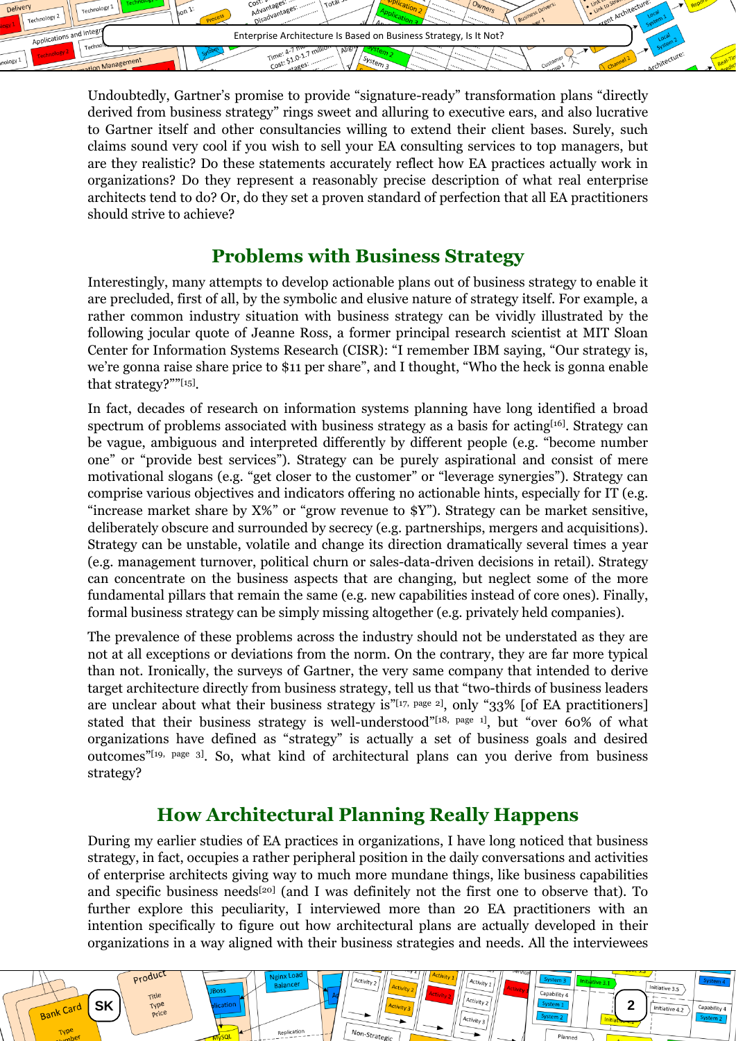

Undoubtedly, Gartner's promise to provide "signature-ready" transformation plans "directly derived from business strategy" rings sweet and alluring to executive ears, and also lucrative to Gartner itself and other consultancies willing to extend their client bases. Surely, such claims sound very cool if you wish to sell your EA consulting services to top managers, but are they realistic? Do these statements accurately reflect how EA practices actually work in organizations? Do they represent a reasonably precise description of what real enterprise architects tend to do? Or, do they set a proven standard of perfection that all EA practitioners should strive to achieve?

### **Problems with Business Strategy**

Interestingly, many attempts to develop actionable plans out of business strategy to enable it are precluded, first of all, by the symbolic and elusive nature of strategy itself. For example, a rather common industry situation with business strategy can be vividly illustrated by the following jocular quote of Jeanne Ross, a former principal research scientist at MIT Sloan Center for Information Systems Research (CISR): "I remember IBM saying, "Our strategy is, we're gonna raise share price to \$11 per share", and I thought, "Who the heck is gonna enable that strategy?""[\[15\]](#page-7-14) .

In fact, decades of research on information systems planning have long identified a broad spectrum of problems associated with business strategy as a basis for acting<sup>[\[16\]](#page-7-15)</sup>. Strategy can be vague, ambiguous and interpreted differently by different people (e.g. "become number one" or "provide best services"). Strategy can be purely aspirational and consist of mere motivational slogans (e.g. "get closer to the customer" or "leverage synergies"). Strategy can comprise various objectives and indicators offering no actionable hints, especially for IT (e.g. "increase market share by X%" or "grow revenue to \$Y"). Strategy can be market sensitive, deliberately obscure and surrounded by secrecy (e.g. partnerships, mergers and acquisitions). Strategy can be unstable, volatile and change its direction dramatically several times a year (e.g. management turnover, political churn or sales-data-driven decisions in retail). Strategy can concentrate on the business aspects that are changing, but neglect some of the more fundamental pillars that remain the same (e.g. new capabilities instead of core ones). Finally, formal business strategy can be simply missing altogether (e.g. privately held companies).

The prevalence of these problems across the industry should not be understated as they are not at all exceptions or deviations from the norm. On the contrary, they are far more typical than not. Ironically, the surveys of Gartner, the very same company that intended to derive target architecture directly from business strategy, tell us that "two-thirds of business leaders are unclear about what their business strategy is"<sup>[\[17, page 2\]](#page-7-16)</sup>, only "33% [of EA practitioners] stated that their business strategy is well-understood"[\[18, page 1\]](#page-7-17), but "over 60% of what organizations have defined as "strategy" is actually a set of business goals and desired outcomes"[\[19, page 3\]](#page-7-18) . So, what kind of architectural plans can you derive from business strategy?

## **How Architectural Planning Really Happens**

During my earlier studies of EA practices in organizations, I have long noticed that business strategy, in fact, occupies a rather peripheral position in the daily conversations and activities of enterprise architects giving way to much more mundane things, like business capabilities and specific business needs<sup>[\[20\]](#page-7-19)</sup> (and I was definitely not the first one to observe that). To further explore this peculiarity, I interviewed more than 20 EA practitioners with an intention specifically to figure out how architectural plans are actually developed in their organizations in a way aligned with their business strategies and needs. All the interviewees

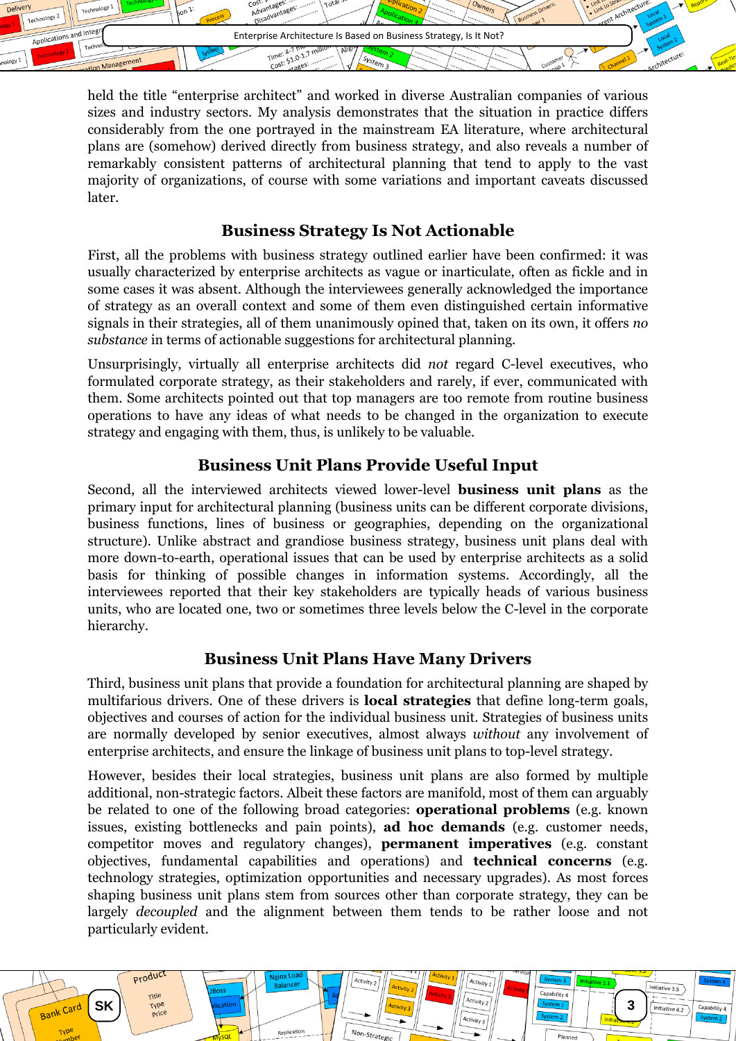

held the title "enterprise architect" and worked in diverse Australian companies of various sizes and industry sectors. My analysis demonstrates that the situation in practice differs considerably from the one portrayed in the mainstream EA literature, where architectural plans are (somehow) derived directly from business strategy, and also reveals a number of remarkably consistent patterns of architectural planning that tend to apply to the vast majority of organizations, of course with some variations and important caveats discussed later.

#### **Business Strategy Is Not Actionable**

First, all the problems with business strategy outlined earlier have been confirmed: it was usually characterized by enterprise architects as vague or inarticulate, often as fickle and in some cases it was absent. Although the interviewees generally acknowledged the importance of strategy as an overall context and some of them even distinguished certain informative signals in their strategies, all of them unanimously opined that, taken on its own, it offers *no substance* in terms of actionable suggestions for architectural planning.

Unsurprisingly, virtually all enterprise architects did *not* regard C-level executives, who formulated corporate strategy, as their stakeholders and rarely, if ever, communicated with them. Some architects pointed out that top managers are too remote from routine business operations to have any ideas of what needs to be changed in the organization to execute strategy and engaging with them, thus, is unlikely to be valuable.

#### **Business Unit Plans Provide Useful Input**

Second, all the interviewed architects viewed lower-level **business unit plans** as the primary input for architectural planning (business units can be different corporate divisions, business functions, lines of business or geographies, depending on the organizational structure). Unlike abstract and grandiose business strategy, business unit plans deal with more down-to-earth, operational issues that can be used by enterprise architects as a solid basis for thinking of possible changes in information systems. Accordingly, all the interviewees reported that their key stakeholders are typically heads of various business units, who are located one, two or sometimes three levels below the C-level in the corporate hierarchy.

#### **Business Unit Plans Have Many Drivers**

Third, business unit plans that provide a foundation for architectural planning are shaped by multifarious drivers. One of these drivers is **local strategies** that define long-term goals, objectives and courses of action for the individual business unit. Strategies of business units are normally developed by senior executives, almost always *without* any involvement of enterprise architects, and ensure the linkage of business unit plans to top-level strategy.

However, besides their local strategies, business unit plans are also formed by multiple additional, non-strategic factors. Albeit these factors are manifold, most of them can arguably be related to one of the following broad categories: **operational problems** (e.g. known issues, existing bottlenecks and pain points), **ad hoc demands** (e.g. customer needs, competitor moves and regulatory changes), **permanent imperatives** (e.g. constant objectives, fundamental capabilities and operations) and **technical concerns** (e.g. technology strategies, optimization opportunities and necessary upgrades). As most forces shaping business unit plans stem from sources other than corporate strategy, they can be largely *decoupled* and the alignment between them tends to be rather loose and not particularly evident.

**SK 3**

Replication

Activity

Activity 3

Capability

Initiative 3.5

Initiative 4.2

Capability 4

Product

Bank Card

TVR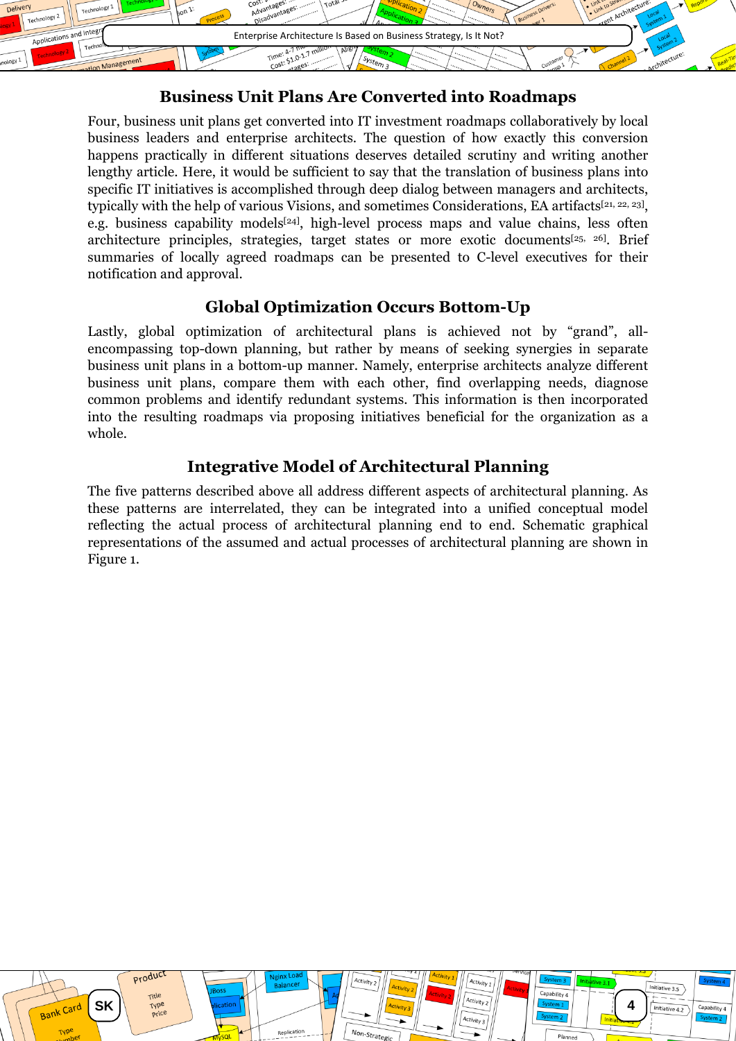

#### **Business Unit Plans Are Converted into Roadmaps**

Four, business unit plans get converted into IT investment roadmaps collaboratively by local business leaders and enterprise architects. The question of how exactly this conversion happens practically in different situations deserves detailed scrutiny and writing another lengthy article. Here, it would be sufficient to say that the translation of business plans into specific IT initiatives is accomplished through deep dialog between managers and architects, typically with the help of various Visions, and sometimes Considerations, EA artifacts<sup>[\[21,](#page-7-20) [22,](#page-8-0) [23\]](#page-8-1)</sup>, e.g. business capability models<sup>[\[24\]](#page-8-2)</sup>, high-level process maps and value chains, less often architecture principles, strategies, target states or more exotic documents<sup>[\[25,](#page-8-3) [26\]](#page-8-4)</sup>. Brief summaries of locally agreed roadmaps can be presented to C-level executives for their notification and approval.

#### **Global Optimization Occurs Bottom-Up**

Lastly, global optimization of architectural plans is achieved not by "grand", allencompassing top-down planning, but rather by means of seeking synergies in separate business unit plans in a bottom-up manner. Namely, enterprise architects analyze different business unit plans, compare them with each other, find overlapping needs, diagnose common problems and identify redundant systems. This information is then incorporated into the resulting roadmaps via proposing initiatives beneficial for the organization as a whole.

### **Integrative Model of Architectural Planning**

The five patterns described above all address different aspects of architectural planning. As these patterns are interrelated, they can be integrated into a unified conceptual model reflecting the actual process of architectural planning end to end. Schematic graphical representations of the assumed and actual processes of architectural planning are shown in [Figure 1.](#page-4-0)

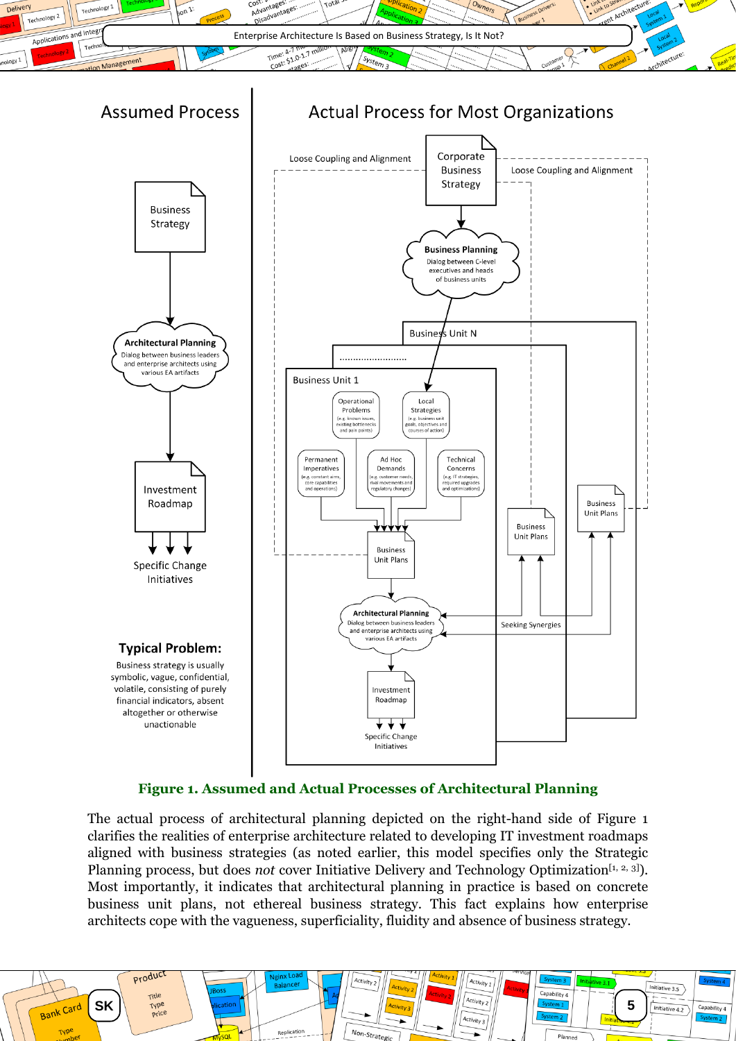



#### **Figure 1. Assumed and Actual Processes of Architectural Planning**

<span id="page-4-0"></span>The actual process of architectural planning depicted on the right-hand side of [Figure 1](#page-4-0) clarifies the realities of enterprise architecture related to developing IT investment roadmaps aligned with business strategies (as noted earlier, this model specifies only the Strategic Planning process, but does *not* cover Initiative Delivery and Technology Optimization<sup>[\[1,](#page-7-0) [2,](#page-7-1) [3\]](#page-7-2)).</sup> Most importantly, it indicates that architectural planning in practice is based on concrete business unit plans, not ethereal business strategy. This fact explains how enterprise architects cope with the vagueness, superficiality, fluidity and absence of business strategy.

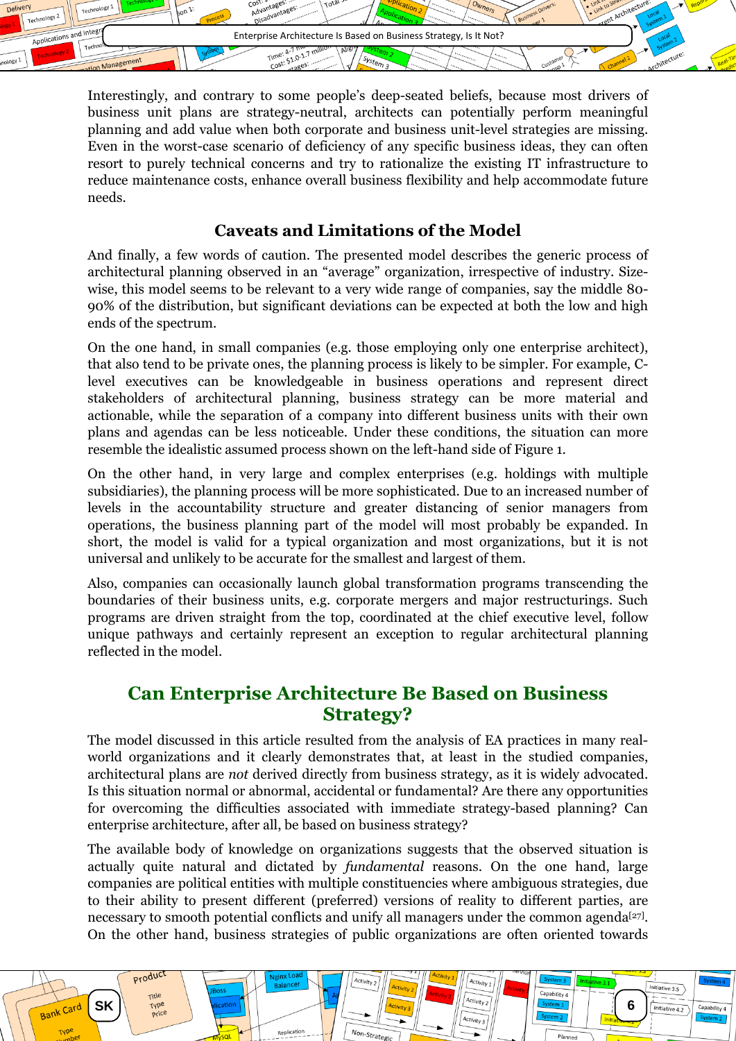

Interestingly, and contrary to some people's deep-seated beliefs, because most drivers of business unit plans are strategy-neutral, architects can potentially perform meaningful planning and add value when both corporate and business unit-level strategies are missing. Even in the worst-case scenario of deficiency of any specific business ideas, they can often resort to purely technical concerns and try to rationalize the existing IT infrastructure to reduce maintenance costs, enhance overall business flexibility and help accommodate future needs.

#### **Caveats and Limitations of the Model**

And finally, a few words of caution. The presented model describes the generic process of architectural planning observed in an "average" organization, irrespective of industry. Sizewise, this model seems to be relevant to a very wide range of companies, say the middle 80- 90% of the distribution, but significant deviations can be expected at both the low and high ends of the spectrum.

On the one hand, in small companies (e.g. those employing only one enterprise architect), that also tend to be private ones, the planning process is likely to be simpler. For example, Clevel executives can be knowledgeable in business operations and represent direct stakeholders of architectural planning, business strategy can be more material and actionable, while the separation of a company into different business units with their own plans and agendas can be less noticeable. Under these conditions, the situation can more resemble the idealistic assumed process shown on the left-hand side of [Figure 1.](#page-4-0)

On the other hand, in very large and complex enterprises (e.g. holdings with multiple subsidiaries), the planning process will be more sophisticated. Due to an increased number of levels in the accountability structure and greater distancing of senior managers from operations, the business planning part of the model will most probably be expanded. In short, the model is valid for a typical organization and most organizations, but it is not universal and unlikely to be accurate for the smallest and largest of them.

Also, companies can occasionally launch global transformation programs transcending the boundaries of their business units, e.g. corporate mergers and major restructurings. Such programs are driven straight from the top, coordinated at the chief executive level, follow unique pathways and certainly represent an exception to regular architectural planning reflected in the model.

### **Can Enterprise Architecture Be Based on Business Strategy?**

The model discussed in this article resulted from the analysis of EA practices in many realworld organizations and it clearly demonstrates that, at least in the studied companies, architectural plans are *not* derived directly from business strategy, as it is widely advocated. Is this situation normal or abnormal, accidental or fundamental? Are there any opportunities for overcoming the difficulties associated with immediate strategy-based planning? Can enterprise architecture, after all, be based on business strategy?

The available body of knowledge on organizations suggests that the observed situation is actually quite natural and dictated by *fundamental* reasons. On the one hand, large companies are political entities with multiple constituencies where ambiguous strategies, due to their ability to present different (preferred) versions of reality to different parties, are necessary to smooth potential conflicts and unify all managers under the common agenda<sup>[\[27\]](#page-8-5)</sup>. On the other hand, business strategies of public organizations are often oriented towards

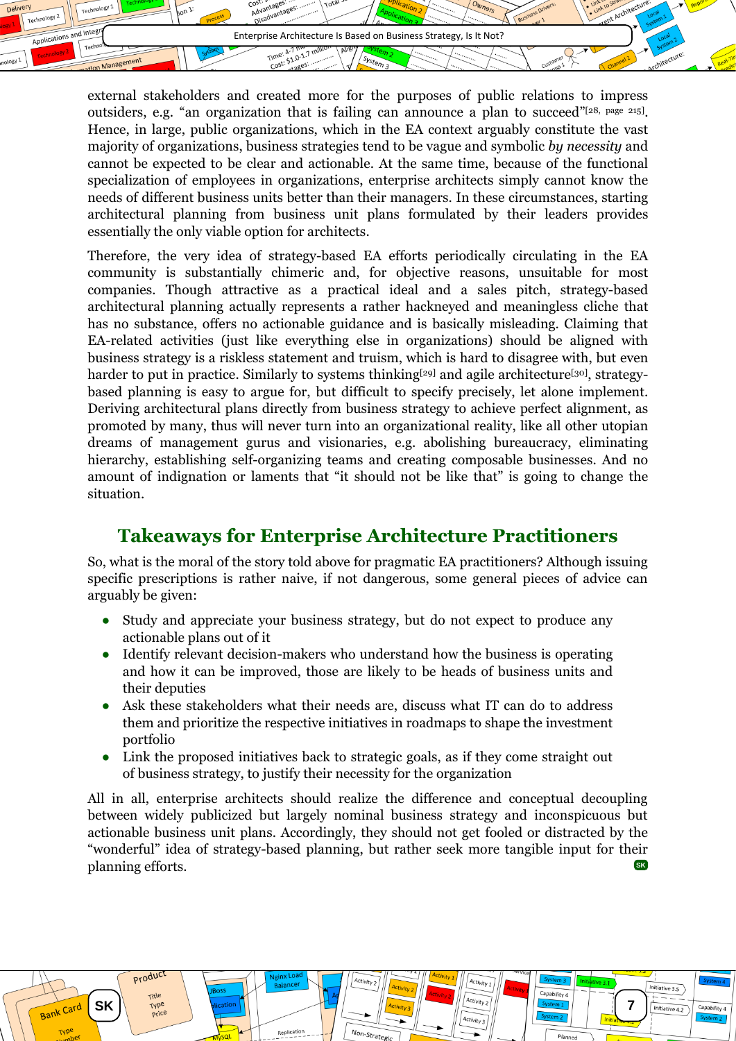

external stakeholders and created more for the purposes of public relations to impress outsiders, e.g. "an organization that is failing can announce a plan to succeed"<sup>[\[28, page 215\]](#page-8-6)</sup>. Hence, in large, public organizations, which in the EA context arguably constitute the vast majority of organizations, business strategies tend to be vague and symbolic *by necessity* and cannot be expected to be clear and actionable. At the same time, because of the functional specialization of employees in organizations, enterprise architects simply cannot know the needs of different business units better than their managers. In these circumstances, starting architectural planning from business unit plans formulated by their leaders provides essentially the only viable option for architects.

Therefore, the very idea of strategy-based EA efforts periodically circulating in the EA community is substantially chimeric and, for objective reasons, unsuitable for most companies. Though attractive as a practical ideal and a sales pitch, strategy-based architectural planning actually represents a rather hackneyed and meaningless cliche that has no substance, offers no actionable guidance and is basically misleading. Claiming that EA-related activities (just like everything else in organizations) should be aligned with business strategy is a riskless statement and truism, which is hard to disagree with, but even harder to put in practice. Similarly to systems thinking<sup>[\[29\]](#page-8-7)</sup> and agile architecture<sup>[\[30\]](#page-8-8)</sup>, strategybased planning is easy to argue for, but difficult to specify precisely, let alone implement. Deriving architectural plans directly from business strategy to achieve perfect alignment, as promoted by many, thus will never turn into an organizational reality, like all other utopian dreams of management gurus and visionaries, e.g. abolishing bureaucracy, eliminating hierarchy, establishing self-organizing teams and creating composable businesses. And no amount of indignation or laments that "it should not be like that" is going to change the situation.

## **Takeaways for Enterprise Architecture Practitioners**

So, what is the moral of the story told above for pragmatic EA practitioners? Although issuing specific prescriptions is rather naive, if not dangerous, some general pieces of advice can arguably be given:

- Study and appreciate your business strategy, but do not expect to produce any actionable plans out of it
- Identify relevant decision-makers who understand how the business is operating and how it can be improved, those are likely to be heads of business units and their deputies
- Ask these stakeholders what their needs are, discuss what IT can do to address them and prioritize the respective initiatives in roadmaps to shape the investment portfolio
- Link the proposed initiatives back to strategic goals, as if they come straight out of business strategy, to justify their necessity for the organization

All in all, enterprise architects should realize the difference and conceptual decoupling between widely publicized but largely nominal business strategy and inconspicuous but actionable business unit plans. Accordingly, they should not get fooled or distracted by the "wonderful" idea of strategy-based planning, but rather seek more tangible input for their planning efforts. **SK**

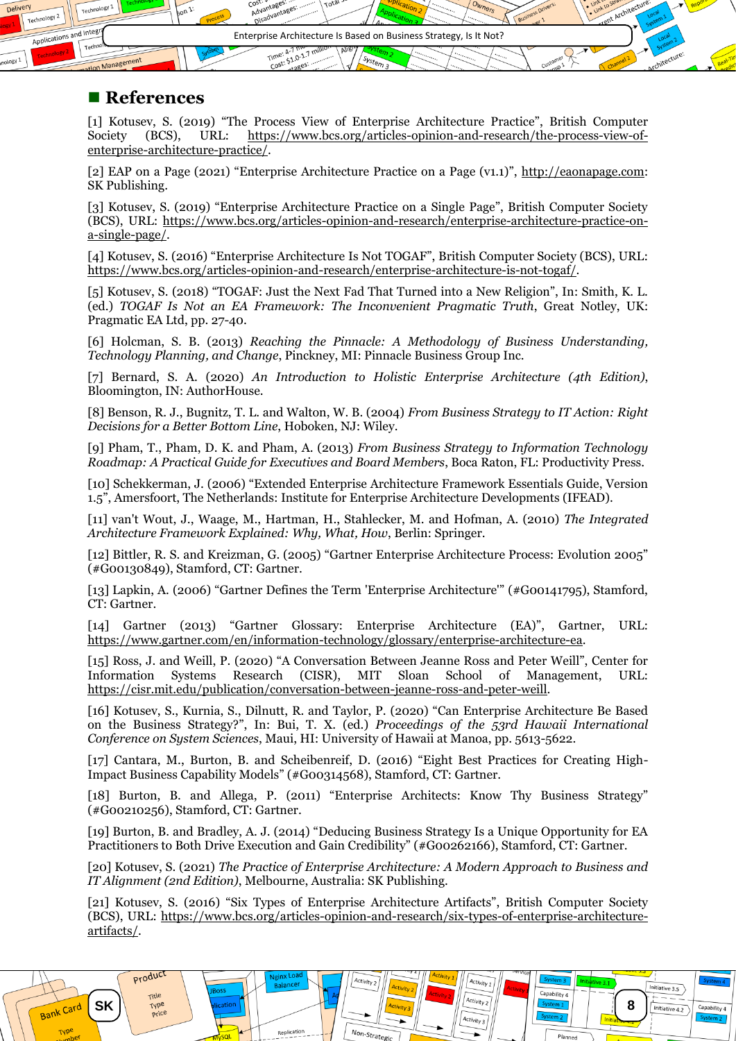

#### ■ References

product

Bank Card

**TVP** 

<span id="page-7-0"></span>[1] Kotusev, S. (2019) "The Process View of Enterprise Architecture Practice", British Computer Society (BCS), URL: [https://www.bcs.org/articles-opinion-and-research/the-process-view-of](https://www.bcs.org/articles-opinion-and-research/the-process-view-of-enterprise-architecture-practice/)[enterprise-architecture-practice/.](https://www.bcs.org/articles-opinion-and-research/the-process-view-of-enterprise-architecture-practice/)

<span id="page-7-1"></span>[2] EAP on a Page (2021) "Enterprise Architecture Practice on a Page (v1.1)", [http://eaonapage.com:](http://eaonapage.com/) SK Publishing.

<span id="page-7-2"></span>[3] Kotusev, S. (2019) "Enterprise Architecture Practice on a Single Page", British Computer Society (BCS), URL: [https://www.bcs.org/articles-opinion-and-research/enterprise-architecture-practice-on](https://www.bcs.org/articles-opinion-and-research/enterprise-architecture-practice-on-a-single-page/)[a-single-page/.](https://www.bcs.org/articles-opinion-and-research/enterprise-architecture-practice-on-a-single-page/)

<span id="page-7-3"></span>[4] Kotusev, S. (2016) "Enterprise Architecture Is Not TOGAF", British Computer Society (BCS), URL: [https://www.bcs.org/articles-opinion-and-research/enterprise-architecture-is-not-togaf/.](https://www.bcs.org/articles-opinion-and-research/enterprise-architecture-is-not-togaf/)

<span id="page-7-4"></span>[5] Kotusev, S. (2018) "TOGAF: Just the Next Fad That Turned into a New Religion", In: Smith, K. L. (ed.) *TOGAF Is Not an EA Framework: The Inconvenient Pragmatic Truth*, Great Notley, UK: Pragmatic EA Ltd, pp. 27-40.

<span id="page-7-5"></span>[6] Holcman, S. B. (2013) *Reaching the Pinnacle: A Methodology of Business Understanding, Technology Planning, and Change*, Pinckney, MI: Pinnacle Business Group Inc.

<span id="page-7-6"></span>[7] Bernard, S. A. (2020) *An Introduction to Holistic Enterprise Architecture (4th Edition)*, Bloomington, IN: AuthorHouse.

<span id="page-7-7"></span>[8] Benson, R. J., Bugnitz, T. L. and Walton, W. B. (2004) *From Business Strategy to IT Action: Right Decisions for a Better Bottom Line*, Hoboken, NJ: Wiley.

<span id="page-7-8"></span>[9] Pham, T., Pham, D. K. and Pham, A. (2013) *From Business Strategy to Information Technology Roadmap: A Practical Guide for Executives and Board Members*, Boca Raton, FL: Productivity Press.

<span id="page-7-9"></span>[10] Schekkerman, J. (2006) "Extended Enterprise Architecture Framework Essentials Guide, Version 1.5", Amersfoort, The Netherlands: Institute for Enterprise Architecture Developments (IFEAD).

<span id="page-7-10"></span>[11] van't Wout, J., Waage, M., Hartman, H., Stahlecker, M. and Hofman, A. (2010) *The Integrated Architecture Framework Explained: Why, What, How*, Berlin: Springer.

<span id="page-7-11"></span>[12] Bittler, R. S. and Kreizman, G. (2005) "Gartner Enterprise Architecture Process: Evolution 2005" (#G00130849), Stamford, CT: Gartner.

<span id="page-7-12"></span>[13] Lapkin, A. (2006) "Gartner Defines the Term 'Enterprise Architecture'" (#G00141795), Stamford, CT: Gartner.

<span id="page-7-13"></span>[14] Gartner (2013) "Gartner Glossary: Enterprise Architecture (EA)", Gartner, URL: [https://www.gartner.com/en/information-technology/glossary/enterprise-architecture-ea.](https://www.gartner.com/en/information-technology/glossary/enterprise-architecture-ea)

<span id="page-7-14"></span>[15] Ross, J. and Weill, P. (2020) "A Conversation Between Jeanne Ross and Peter Weill", Center for Information Systems Research (CISR), MIT Sloan School of Management, URL: Information Systems Research (CISR), MIT Sloan School of Management, URL: [https://cisr.mit.edu/publication/conversation-between-jeanne-ross-and-peter-weill.](https://cisr.mit.edu/publication/conversation-between-jeanne-ross-and-peter-weill)

<span id="page-7-15"></span>[16] Kotusev, S., Kurnia, S., Dilnutt, R. and Taylor, P. (2020) "Can Enterprise Architecture Be Based on the Business Strategy?", In: Bui, T. X. (ed.) *Proceedings of the 53rd Hawaii International Conference on System Sciences*, Maui, HI: University of Hawaii at Manoa, pp. 5613-5622.

<span id="page-7-16"></span>[17] Cantara, M., Burton, B. and Scheibenreif, D. (2016) "Eight Best Practices for Creating High-Impact Business Capability Models" (#G00314568), Stamford, CT: Gartner.

<span id="page-7-17"></span>[18] Burton, B. and Allega, P. (2011) "Enterprise Architects: Know Thy Business Strategy" (#G00210256), Stamford, CT: Gartner.

<span id="page-7-18"></span>[19] Burton, B. and Bradley, A. J. (2014) "Deducing Business Strategy Is a Unique Opportunity for EA Practitioners to Both Drive Execution and Gain Credibility" (#G00262166), Stamford, CT: Gartner.

<span id="page-7-19"></span>[20] Kotusev, S. (2021) *The Practice of Enterprise Architecture: A Modern Approach to Business and IT Alignment (2nd Edition)*, Melbourne, Australia: SK Publishing.

<span id="page-7-20"></span>[21] Kotusev, S. (2016) "Six Types of Enterprise Architecture Artifacts", British Computer Society (BCS), URL: [https://www.bcs.org/articles-opinion-and-research/six-types-of-enterprise-architecture](https://www.bcs.org/articles-opinion-and-research/six-types-of-enterprise-architecture-artifacts/)[artifacts/.](https://www.bcs.org/articles-opinion-and-research/six-types-of-enterprise-architecture-artifacts/)

 $SK \sim \frac{1}{\sqrt{100}}$  **bication activity 8** 

 $N_{\Omega}$ 

Replication

Activit

 $\widehat{Activity 1}$ 

Activity 3

Capability 4

Initiative 3.5

Initiative 4.2

Capability 4